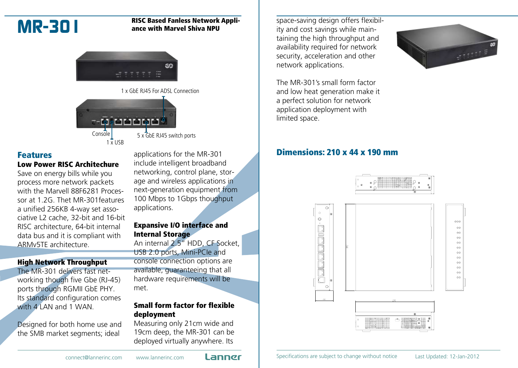

#### **MR-301** RISC Based Fanless Network Appli-<br>ance with Marvel Shiva NPU ance with Marvel Shiva NPU



1 x GbE RJ45 For ADSL Connection



### Features

#### Low Power RISC Architechure

Save on energy bills while you process more network packets with the Marvell 88F6281 Processor at 1.2G. Thet MR-301features a unified 256KB 4-way set associative L2 cache, 32-bit and 16-bit RISC architecture, 64-bit internal data bus and it is compliant with ARMv5TE architecture.

### High Network Throughput

The MR-301 delivers fast networking though five Gbe (RJ-45) ports through RGMII GbE PHY. Its standard configuration comes with 4 LAN and 1 WAN.

Designed for both home use and the SMB market segments; ideal

applications for the MR-301 include intelligent broadband networking, control plane, storage and wireless applications in next-generation equipment from 100 Mbps to 1Gbps thoughput applications.

#### Expansive I/O interface and Internal Storage

An internal 2.5" HDD, CF Socket, USB 2.0 ports, Mini-PCIe and console connection options are available, guaranteeing that all hardware requirements will be met.

## Small form factor for flexible deployment

Measuring only 21cm wide and 19cm deep, the MR-301 can be deployed virtually anywhere. Its

space-saving design offers flexibility and cost savings while maintaining the high throughput and availability required for network security, acceleration and other network applications.



The MR-301's small form factor and low heat generation make it a perfect solution for network application deployment with limited space.

## Dimensions: 210 x 44 x 190 mm



connect@lannerinc.com www.lannerinc.com **Lanner** Specifications are subject to change without notice Last Updated: 12-Jan-2012